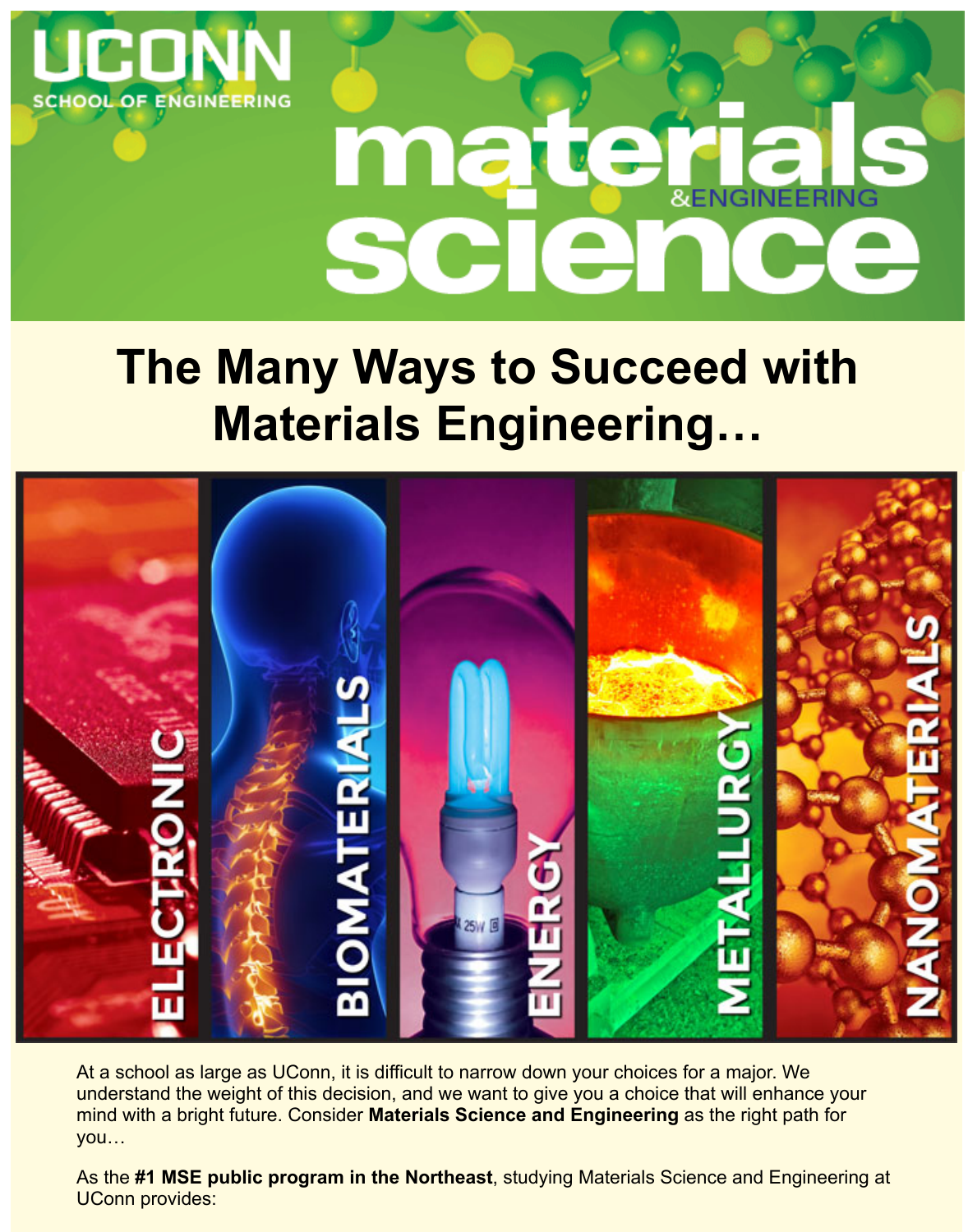



## **The Many Ways to Succeed with Materials Engineering…**



At a school as large as UConn, it is difficult to narrow down your choices for a major. We understand the weight of this decision, and we want to give you a choice that will enhance your mind with a bright future. Consider **Materials Science and Engineering** as the right path for you…

As the **#1 MSE public program in the Northeast**, studying Materials Science and Engineering at UConn provides: